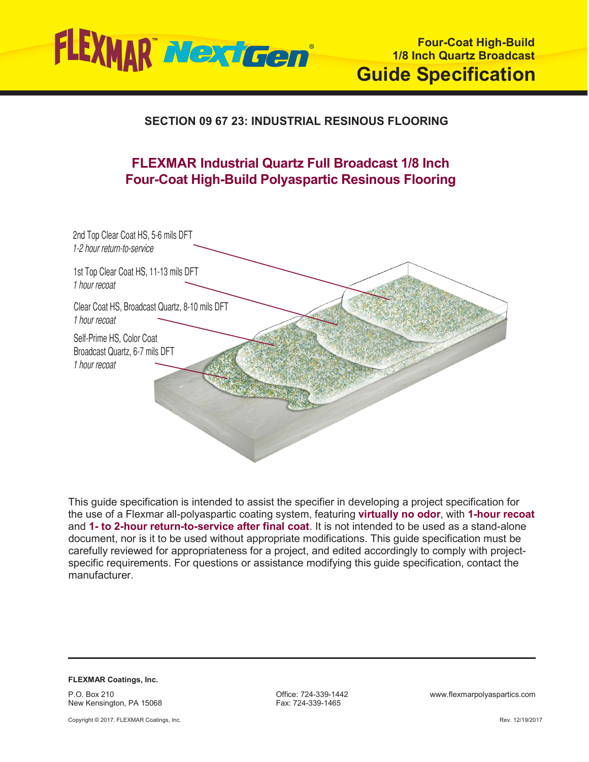

# **SECTION 09 67 23: INDUSTRIAL RESINOUS FLOORING**

# **FLEXMAR Industrial Quartz Full Broadcast 1/8 Inch Four-Coat High-Build Polyaspartic Resinous Flooring**



This guide specification is intended to assist the specifier in developing a project specification for the use of a Flexmar all-polyaspartic coating system, featuring **virtually no odor**, with **1-hour recoat** and **1- to 2-hour return-to-service after final coat**. It is not intended to be used as a stand-alone document, nor is it to be used without appropriate modifications. This guide specification must be carefully reviewed for appropriateness for a project, and edited accordingly to comply with projectspecific requirements. For questions or assistance modifying this guide specification, contact the manufacturer.

**FLEXMAR Coatings, Inc.** P.O. Box 210

New Kensington, PA 15068 Copyright © 2017. FLEXMAR Coatings, Inc. Fax: 724-339-1465

Office: 724-339-1442 www.flexmarpolyaspartics.com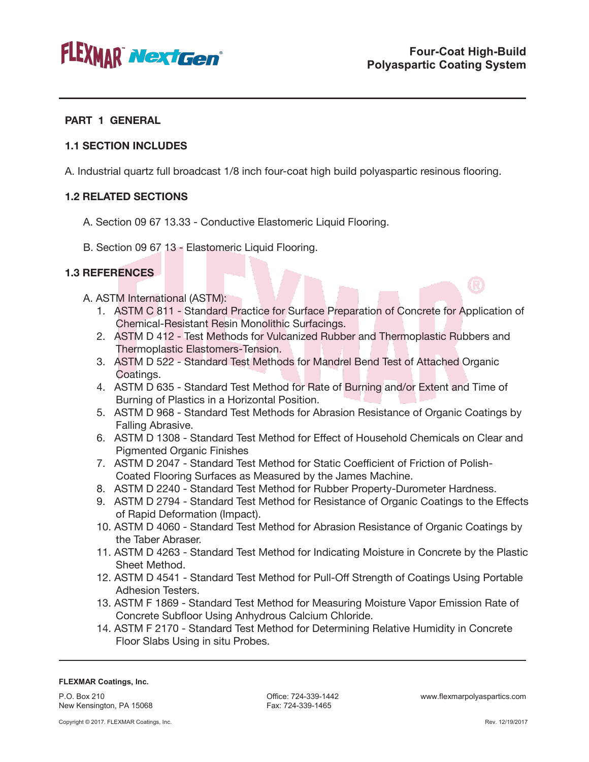

### **PART 1 GENERAL**

### **1.1 SECTION INCLUDES**

A. Industrial quartz full broadcast 1/8 inch four-coat high build polyaspartic resinous flooring.

# **1.2 RELATED SECTIONS**

- A. Section 09 67 13.33 Conductive Elastomeric Liquid Flooring.
- B. Section 09 67 13 Elastomeric Liquid Flooring.

# **1.3 REFERENCES**

- A. ASTM International (ASTM):
	- 1. ASTM C 811 Standard Practice for Surface Preparation of Concrete for Application of Chemical-Resistant Resin Monolithic Surfacings.
	- 2. ASTM D 412 Test Methods for Vulcanized Rubber and Thermoplastic Rubbers and Thermoplastic Elastomers-Tension.
	- 3. ASTM D 522 Standard Test Methods for Mandrel Bend Test of Attached Organic Coatings.
	- 4. ASTM D 635 Standard Test Method for Rate of Burning and/or Extent and Time of Burning of Plastics in a Horizontal Position.
	- 5. ASTM D 968 Standard Test Methods for Abrasion Resistance of Organic Coatings by Falling Abrasive.
	- 6. ASTM D 1308 Standard Test Method for Effect of Household Chemicals on Clear and Pigmented Organic Finishes
	- 7. ASTM D 2047 Standard Test Method for Static Coefficient of Friction of Polish-Coated Flooring Surfaces as Measured by the James Machine.
	- 8. ASTM D 2240 Standard Test Method for Rubber Property-Durometer Hardness.
	- 9. ASTM D 2794 Standard Test Method for Resistance of Organic Coatings to the Effects of Rapid Deformation (Impact).
	- 10. ASTM D 4060 Standard Test Method for Abrasion Resistance of Organic Coatings by the Taber Abraser.
	- 11. ASTM D 4263 Standard Test Method for Indicating Moisture in Concrete by the Plastic Sheet Method.
	- 12. ASTM D 4541 Standard Test Method for Pull-Off Strength of Coatings Using Portable Adhesion Testers.
	- 13. ASTM F 1869 Standard Test Method for Measuring Moisture Vapor Emission Rate of Concrete Subfloor Using Anhydrous Calcium Chloride.
	- 14. ASTM F 2170 Standard Test Method for Determining Relative Humidity in Concrete Floor Slabs Using in situ Probes.

#### **FLEXMAR Coatings, Inc.**

P.O. Box 210 New Kensington, PA 15068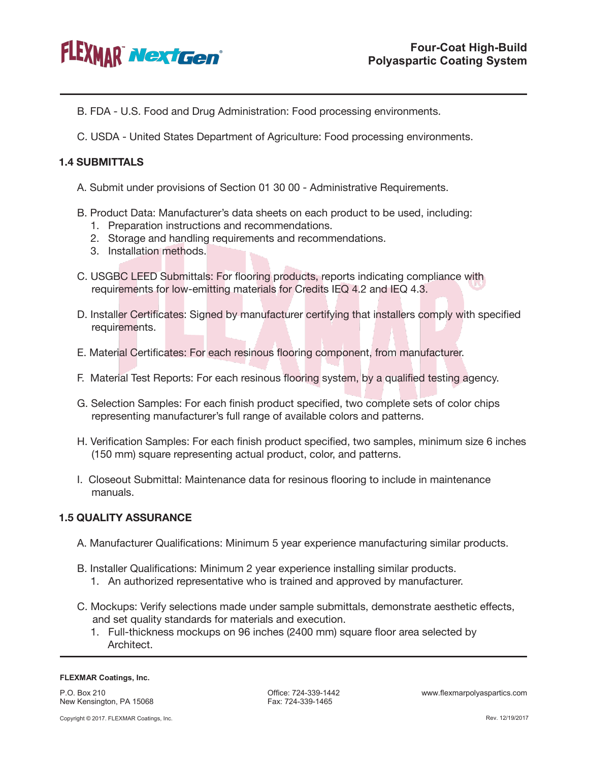

- B. FDA U.S. Food and Drug Administration: Food processing environments.
- C. USDA United States Department of Agriculture: Food processing environments.

### **1.4 SUBMITTALS**

- A. Submit under provisions of Section 01 30 00 Administrative Requirements.
- B. Product Data: Manufacturer's data sheets on each product to be used, including:
	- 1. Preparation instructions and recommendations.
	- 2. Storage and handling requirements and recommendations.
	- 3. Installation methods.
- C. USGBC LEED Submittals: For flooring products, reports indicating compliance with requirements for low-emitting materials for Credits IEQ 4.2 and IEQ 4.3.
- D. Installer Certificates: Signed by manufacturer certifying that installers comply with specified requirements.
- E. Material Certificates: For each resinous flooring component, from manufacturer.
- F. Material Test Reports: For each resinous flooring system, by a qualified testing agency.
- G. Selection Samples: For each finish product specified, two complete sets of color chips representing manufacturer's full range of available colors and patterns.
- H. Verification Samples: For each finish product specified, two samples, minimum size 6 inches (150 mm) square representing actual product, color, and patterns.
- I. Closeout Submittal: Maintenance data for resinous flooring to include in maintenance manuals.

# **1.5 QUALITY ASSURANCE**

- A. Manufacturer Qualifications: Minimum 5 year experience manufacturing similar products.
- B. Installer Qualifications: Minimum 2 year experience installing similar products.
	- 1. An authorized representative who is trained and approved by manufacturer.
- C. Mockups: Verify selections made under sample submittals, demonstrate aesthetic effects, and set quality standards for materials and execution.
	- 1. Full-thickness mockups on 96 inches (2400 mm) square floor area selected by Architect.

#### **FLEXMAR Coatings, Inc.**

P.O. Box 210 New Kensington, PA 15068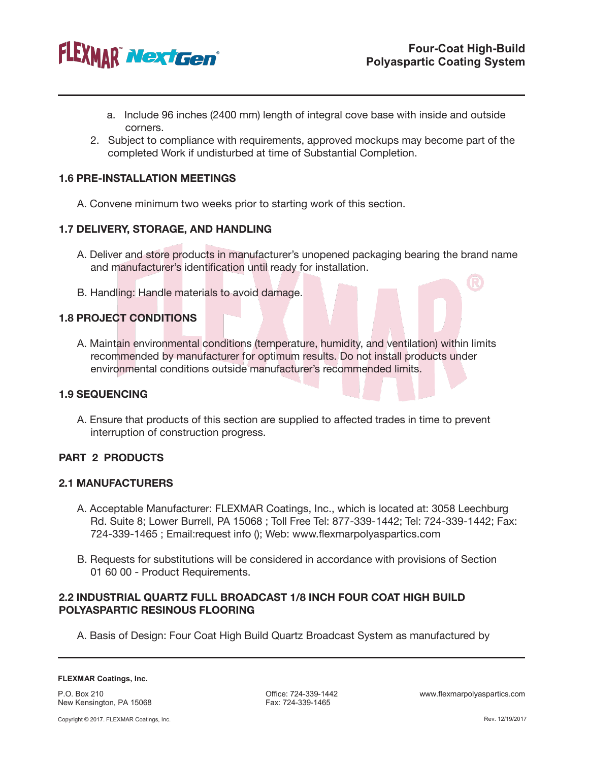

- a. Include 96 inches (2400 mm) length of integral cove base with inside and outside corners.
- 2. Subject to compliance with requirements, approved mockups may become part of the completed Work if undisturbed at time of Substantial Completion.

### **1.6 PRE-INSTALLATION MEETINGS**

A. Convene minimum two weeks prior to starting work of this section.

#### **1.7 DELIVERY, STORAGE, AND HANDLING**

- A. Deliver and store products in manufacturer's unopened packaging bearing the brand name and manufacturer's identification until ready for installation.
- B. Handling: Handle materials to avoid damage.

# **1.8 PROJECT CONDITIONS**

A. Maintain environmental conditions (temperature, humidity, and ventilation) within limits recommended by manufacturer for optimum results. Do not install products under environmental conditions outside manufacturer's recommended limits.

#### **1.9 SEQUENCING**

A. Ensure that products of this section are supplied to affected trades in time to prevent interruption of construction progress.

### **PART 2 PRODUCTS**

#### **2.1 MANUFACTURERS**

- A. Acceptable Manufacturer: FLEXMAR Coatings, Inc., which is located at: 3058 Leechburg Rd. Suite 8; Lower Burrell, PA 15068 ; Toll Free Tel: 877-339-1442; Tel: 724-339-1442; Fax: 724-339-1465 ; Email:request info (); Web: www.flexmarpolyaspartics.com
- B. Requests for substitutions will be considered in accordance with provisions of Section 01 60 00 - Product Requirements.

### **2.2 INDUSTRIAL QUARTZ FULL BROADCAST 1/8 INCH FOUR COAT HIGH BUILD POLYASPARTIC RESINOUS FLOORING**

A. Basis of Design: Four Coat High Build Quartz Broadcast System as manufactured by

P.O. Box 210 New Kensington, PA 15068 Fax: 724-339-1465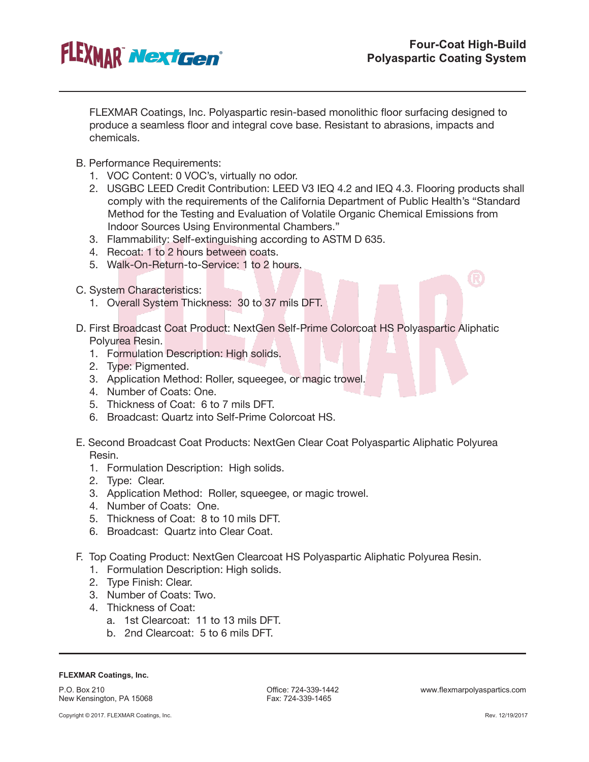

 $\bigcirc$ 

FLEXMAR Coatings, Inc. Polyaspartic resin-based monolithic floor surfacing designed to produce a seamless floor and integral cove base. Resistant to abrasions, impacts and chemicals.

- B. Performance Requirements:
	- 1. VOC Content: 0 VOC's, virtually no odor.
	- 2. USGBC LEED Credit Contribution: LEED V3 IEQ 4.2 and IEQ 4.3. Flooring products shall comply with the requirements of the California Department of Public Health's "Standard Method for the Testing and Evaluation of Volatile Organic Chemical Emissions from Indoor Sources Using Environmental Chambers."
	- 3. Flammability: Self-extinguishing according to ASTM D 635.
	- 4. Recoat: 1 to 2 hours between coats.
	- 5. Walk-On-Return-to-Service: 1 to 2 hours.
- C. System Characteristics:
	- 1. Overall System Thickness: 30 to 37 mils DFT.
- D. First Broadcast Coat Product: NextGen Self-Prime Colorcoat HS Polyaspartic Aliphatic Polyurea Resin.
	- 1. Formulation Description: High solids.
	- 2. Type: Pigmented.
	- 3. Application Method: Roller, squeegee, or magic trowel.
	- 4. Number of Coats: One.
	- 5. Thickness of Coat: 6 to 7 mils DFT.
	- 6. Broadcast: Quartz into Self-Prime Colorcoat HS.
- E. Second Broadcast Coat Products: NextGen Clear Coat Polyaspartic Aliphatic Polyurea Resin.
	- 1. Formulation Description: High solids.
	- 2. Type: Clear.
	- 3. Application Method: Roller, squeegee, or magic trowel.
	- 4. Number of Coats: One.
	- 5. Thickness of Coat: 8 to 10 mils DFT.
	- 6. Broadcast: Quartz into Clear Coat.
- F. Top Coating Product: NextGen Clearcoat HS Polyaspartic Aliphatic Polyurea Resin.
	- 1. Formulation Description: High solids.
	- 2. Type Finish: Clear.
	- 3. Number of Coats: Two.
	- 4. Thickness of Coat:
		- a. 1st Clearcoat: 11 to 13 mils DFT.
		- b. 2nd Clearcoat: 5 to 6 mils DFT.

#### **FLEXMAR Coatings, Inc.**

P.O. Box 210 New Kensington, PA 15068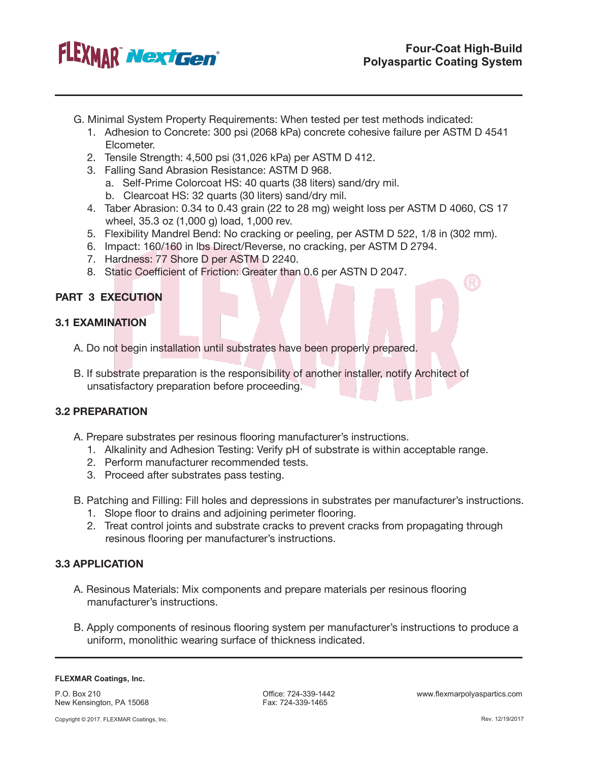

17)

- G. Minimal System Property Requirements: When tested per test methods indicated:
	- 1. Adhesion to Concrete: 300 psi (2068 kPa) concrete cohesive failure per ASTM D 4541 Elcometer.
	- 2. Tensile Strength: 4,500 psi (31,026 kPa) per ASTM D 412.
	- 3. Falling Sand Abrasion Resistance: ASTM D 968.
		- a. Self-Prime Colorcoat HS: 40 quarts (38 liters) sand/dry mil.
		- b. Clearcoat HS: 32 quarts (30 liters) sand/dry mil.
	- 4. Taber Abrasion: 0.34 to 0.43 grain (22 to 28 mg) weight loss per ASTM D 4060, CS 17 wheel, 35.3 oz (1,000 g) load, 1,000 rev.
	- 5. Flexibility Mandrel Bend: No cracking or peeling, per ASTM D 522, 1/8 in (302 mm).
	- 6. Impact: 160/160 in lbs Direct/Reverse, no cracking, per ASTM D 2794.
	- 7. Hardness: 77 Shore D per ASTM D 2240.
	- 8. Static Coefficient of Friction: Greater than 0.6 per ASTN D 2047.

# **PART 3 EXECUTION**

# **3.1 EXAMINATION**

- A. Do not begin installation until substrates have been properly prepared.
- B. If substrate preparation is the responsibility of another installer, notify Architect of unsatisfactory preparation before proceeding.

### **3.2 PREPARATION**

- A. Prepare substrates per resinous flooring manufacturer's instructions.
	- 1. Alkalinity and Adhesion Testing: Verify pH of substrate is within acceptable range.
	- 2. Perform manufacturer recommended tests.
	- 3. Proceed after substrates pass testing.
- B. Patching and Filling: Fill holes and depressions in substrates per manufacturer's instructions.
	- 1. Slope floor to drains and adjoining perimeter flooring.
	- 2. Treat control joints and substrate cracks to prevent cracks from propagating through resinous flooring per manufacturer's instructions.

### **3.3 APPLICATION**

- A. Resinous Materials: Mix components and prepare materials per resinous flooring manufacturer's instructions.
- B. Apply components of resinous flooring system per manufacturer's instructions to produce a uniform, monolithic wearing surface of thickness indicated.